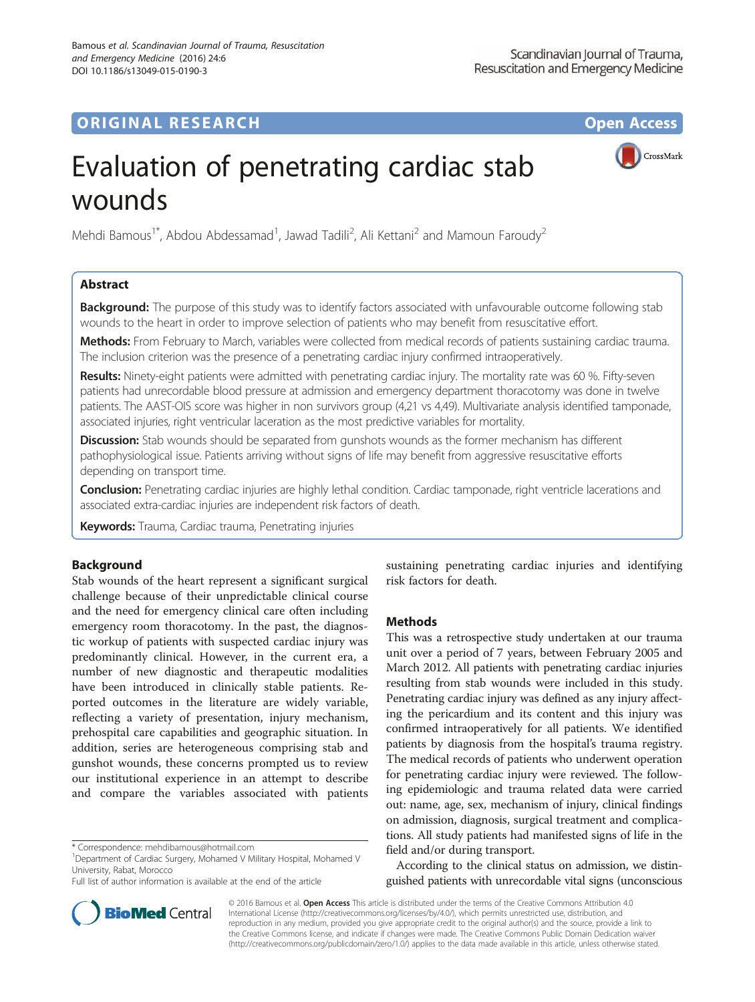# **ORIGINAL RESEARCH CONFIDENTIAL CONFIDENTIAL CONFIDENTIAL CONFIDENTIAL CONFIDENTIAL CONFIDENTIAL CONFIDENTIAL CONFIDENTIAL CONFIDENTIAL CONFIDENTIAL CONFIDENTIAL CONFIDENTIAL CONFIDENTIAL CONFIDENTIAL CONFIDENTIAL CONFIDEN**

CrossMark

# Evaluation of penetrating cardiac stab wounds

Mehdi Bamous<sup>1\*</sup>, Abdou Abdessamad<sup>1</sup>, Jawad Tadili<sup>2</sup>, Ali Kettani<sup>2</sup> and Mamoun Faroudy<sup>2</sup>

# Abstract

**Background:** The purpose of this study was to identify factors associated with unfavourable outcome following stab wounds to the heart in order to improve selection of patients who may benefit from resuscitative effort.

Methods: From February to March, variables were collected from medical records of patients sustaining cardiac trauma. The inclusion criterion was the presence of a penetrating cardiac injury confirmed intraoperatively.

Results: Ninety-eight patients were admitted with penetrating cardiac injury. The mortality rate was 60 %. Fifty-seven patients had unrecordable blood pressure at admission and emergency department thoracotomy was done in twelve patients. The AAST-OIS score was higher in non survivors group (4,21 vs 4,49). Multivariate analysis identified tamponade, associated injuries, right ventricular laceration as the most predictive variables for mortality.

**Discussion:** Stab wounds should be separated from gunshots wounds as the former mechanism has different pathophysiological issue. Patients arriving without signs of life may benefit from aggressive resuscitative efforts depending on transport time.

Conclusion: Penetrating cardiac injuries are highly lethal condition. Cardiac tamponade, right ventricle lacerations and associated extra-cardiac injuries are independent risk factors of death.

**Keywords:** Trauma, Cardiac trauma, Penetrating injuries

# Background

Stab wounds of the heart represent a significant surgical challenge because of their unpredictable clinical course and the need for emergency clinical care often including emergency room thoracotomy. In the past, the diagnostic workup of patients with suspected cardiac injury was predominantly clinical. However, in the current era, a number of new diagnostic and therapeutic modalities have been introduced in clinically stable patients. Reported outcomes in the literature are widely variable, reflecting a variety of presentation, injury mechanism, prehospital care capabilities and geographic situation. In addition, series are heterogeneous comprising stab and gunshot wounds, these concerns prompted us to review our institutional experience in an attempt to describe and compare the variables associated with patients

sustaining penetrating cardiac injuries and identifying risk factors for death.

# **Methods**

This was a retrospective study undertaken at our trauma unit over a period of 7 years, between February 2005 and March 2012. All patients with penetrating cardiac injuries resulting from stab wounds were included in this study. Penetrating cardiac injury was defined as any injury affecting the pericardium and its content and this injury was confirmed intraoperatively for all patients. We identified patients by diagnosis from the hospital's trauma registry. The medical records of patients who underwent operation for penetrating cardiac injury were reviewed. The following epidemiologic and trauma related data were carried out: name, age, sex, mechanism of injury, clinical findings on admission, diagnosis, surgical treatment and complications. All study patients had manifested signs of life in the field and/or during transport.

According to the clinical status on admission, we distinguished patients with unrecordable vital signs (unconscious

© 2016 Bamous et al. Open Access This article is distributed under the terms of the Creative Commons Attribution 4.0 International License [\(http://creativecommons.org/licenses/by/4.0/](http://creativecommons.org/licenses/by/4.0/)), which permits unrestricted use, distribution, and reproduction in any medium, provided you give appropriate credit to the original author(s) and the source, provide a link to the Creative Commons license, and indicate if changes were made. The Creative Commons Public Domain Dedication waiver [\(http://creativecommons.org/publicdomain/zero/1.0/](http://creativecommons.org/publicdomain/zero/1.0/)) applies to the data made available in this article, unless otherwise stated.



<sup>\*</sup> Correspondence: [mehdibamous@hotmail.com](mailto:mehdibamous@hotmail.com) <sup>1</sup>

<sup>&</sup>lt;sup>1</sup>Department of Cardiac Surgery, Mohamed V Military Hospital, Mohamed V University, Rabat, Morocco

Full list of author information is available at the end of the article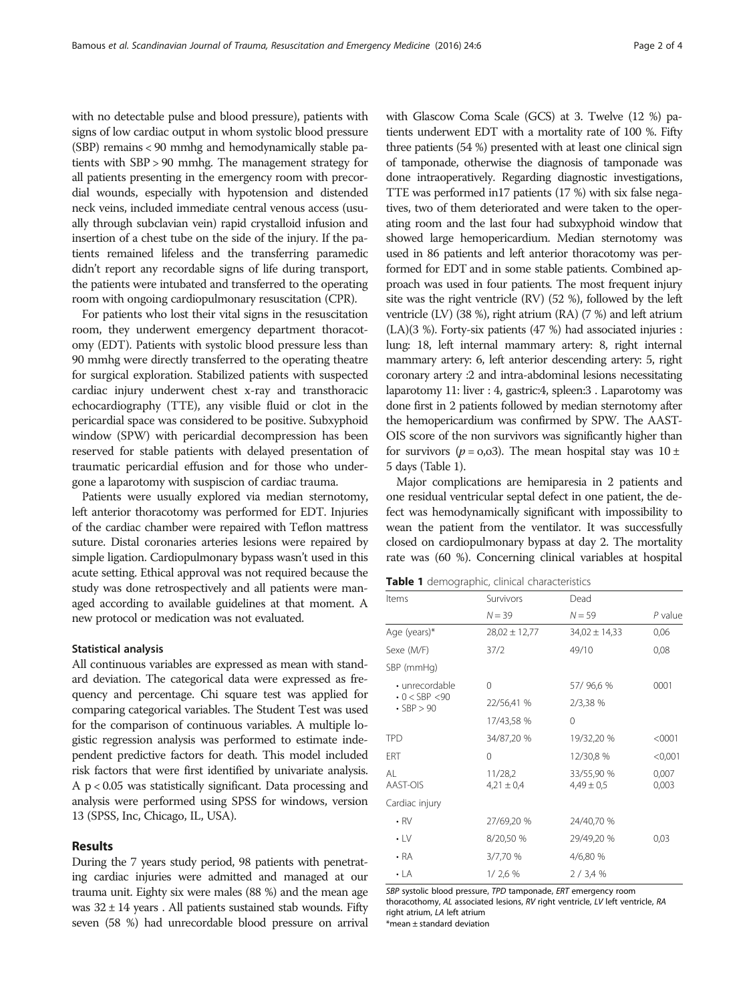with no detectable pulse and blood pressure), patients with signs of low cardiac output in whom systolic blood pressure (SBP) remains < 90 mmhg and hemodynamically stable patients with SBP > 90 mmhg. The management strategy for all patients presenting in the emergency room with precordial wounds, especially with hypotension and distended neck veins, included immediate central venous access (usually through subclavian vein) rapid crystalloid infusion and insertion of a chest tube on the side of the injury. If the patients remained lifeless and the transferring paramedic didn't report any recordable signs of life during transport, the patients were intubated and transferred to the operating room with ongoing cardiopulmonary resuscitation (CPR).

For patients who lost their vital signs in the resuscitation room, they underwent emergency department thoracotomy (EDT). Patients with systolic blood pressure less than 90 mmhg were directly transferred to the operating theatre for surgical exploration. Stabilized patients with suspected cardiac injury underwent chest x-ray and transthoracic echocardiography (TTE), any visible fluid or clot in the pericardial space was considered to be positive. Subxyphoid window (SPW) with pericardial decompression has been reserved for stable patients with delayed presentation of traumatic pericardial effusion and for those who undergone a laparotomy with suspiscion of cardiac trauma.

Patients were usually explored via median sternotomy, left anterior thoracotomy was performed for EDT. Injuries of the cardiac chamber were repaired with Teflon mattress suture. Distal coronaries arteries lesions were repaired by simple ligation. Cardiopulmonary bypass wasn't used in this acute setting. Ethical approval was not required because the study was done retrospectively and all patients were managed according to available guidelines at that moment. A new protocol or medication was not evaluated.

#### Statistical analysis

All continuous variables are expressed as mean with standard deviation. The categorical data were expressed as frequency and percentage. Chi square test was applied for comparing categorical variables. The Student Test was used for the comparison of continuous variables. A multiple logistic regression analysis was performed to estimate independent predictive factors for death. This model included risk factors that were first identified by univariate analysis. A p < 0.05 was statistically significant. Data processing and analysis were performed using SPSS for windows, version 13 (SPSS, Inc, Chicago, IL, USA).

#### Results

During the 7 years study period, 98 patients with penetrating cardiac injuries were admitted and managed at our trauma unit. Eighty six were males (88 %) and the mean age was  $32 \pm 14$  years. All patients sustained stab wounds. Fifty seven (58 %) had unrecordable blood pressure on arrival with Glascow Coma Scale (GCS) at 3. Twelve (12 %) patients underwent EDT with a mortality rate of 100 %. Fifty three patients (54 %) presented with at least one clinical sign of tamponade, otherwise the diagnosis of tamponade was done intraoperatively. Regarding diagnostic investigations, TTE was performed in17 patients (17 %) with six false negatives, two of them deteriorated and were taken to the operating room and the last four had subxyphoid window that showed large hemopericardium. Median sternotomy was used in 86 patients and left anterior thoracotomy was performed for EDT and in some stable patients. Combined approach was used in four patients. The most frequent injury site was the right ventricle (RV) (52 %), followed by the left ventricle (LV) (38 %), right atrium (RA) (7 %) and left atrium (LA)(3 %). Forty-six patients (47 %) had associated injuries : lung: 18, left internal mammary artery: 8, right internal mammary artery: 6, left anterior descending artery: 5, right coronary artery :2 and intra-abdominal lesions necessitating laparotomy 11: liver : 4, gastric:4, spleen:3 . Laparotomy was done first in 2 patients followed by median sternotomy after the hemopericardium was confirmed by SPW. The AAST-OIS score of the non survivors was significantly higher than for survivors ( $p = 0.03$ ). The mean hospital stay was  $10 \pm$ 5 days (Table 1).

Major complications are hemiparesia in 2 patients and one residual ventricular septal defect in one patient, the defect was hemodynamically significant with impossibility to wean the patient from the ventilator. It was successfully closed on cardiopulmonary bypass at day 2. The mortality rate was (60 %). Concerning clinical variables at hospital

|  | Table 1 demographic, clinical characteristics |  |  |
|--|-----------------------------------------------|--|--|
|--|-----------------------------------------------|--|--|

| Items                                 | Survivors                 | Dead                         |                |  |
|---------------------------------------|---------------------------|------------------------------|----------------|--|
|                                       | $N = 39$                  | $N = 59$                     | P value        |  |
| Age (years)*                          | $28,02 \pm 12,77$         | $34,02 \pm 14,33$            | 0,06           |  |
| Sexe (M/F)                            | 37/2                      | 49/10                        | 0,08           |  |
| SBP (mmHg)                            |                           |                              |                |  |
| • unrecordable                        | $\Omega$                  | 57/96,6%                     | 0001           |  |
| $0 <$ SBP $<$ 90<br>$\cdot$ SBP $>90$ | 22/56,41 %                | 2/3,38 %                     |                |  |
|                                       | 17/43,58 %                | 0                            |                |  |
| TPD                                   | 34/87,20 %                | 19/32,20 %                   | $<$ 0001       |  |
| ERT                                   | $\Omega$                  | 12/30,8 %                    | < 0.001        |  |
| AI<br>AAST-OIS                        | 11/28,2<br>$4,21 \pm 0,4$ | 33/55,90 %<br>$4,49 \pm 0.5$ | 0,007<br>0,003 |  |
| Cardiac injury                        |                           |                              |                |  |
| $\cdot$ RV                            | 27/69,20 %                | 24/40,70 %                   |                |  |
| $\cdot$ LV                            | 8/20,50 %                 | 29/49,20 %                   | 0,03           |  |
| $\cdot$ RA                            | 3/7,70 %                  | 4/6,80 %                     |                |  |
| $\cdot$ LA                            | 1/2.6%                    | 2/3,4%                       |                |  |

SBP systolic blood pressure, TPD tamponade, ERT emergency room thoracothomy, AL associated lesions, RV right ventricle, LV left ventricle, RA right atrium, LA left atrium

\*mean ± standard deviation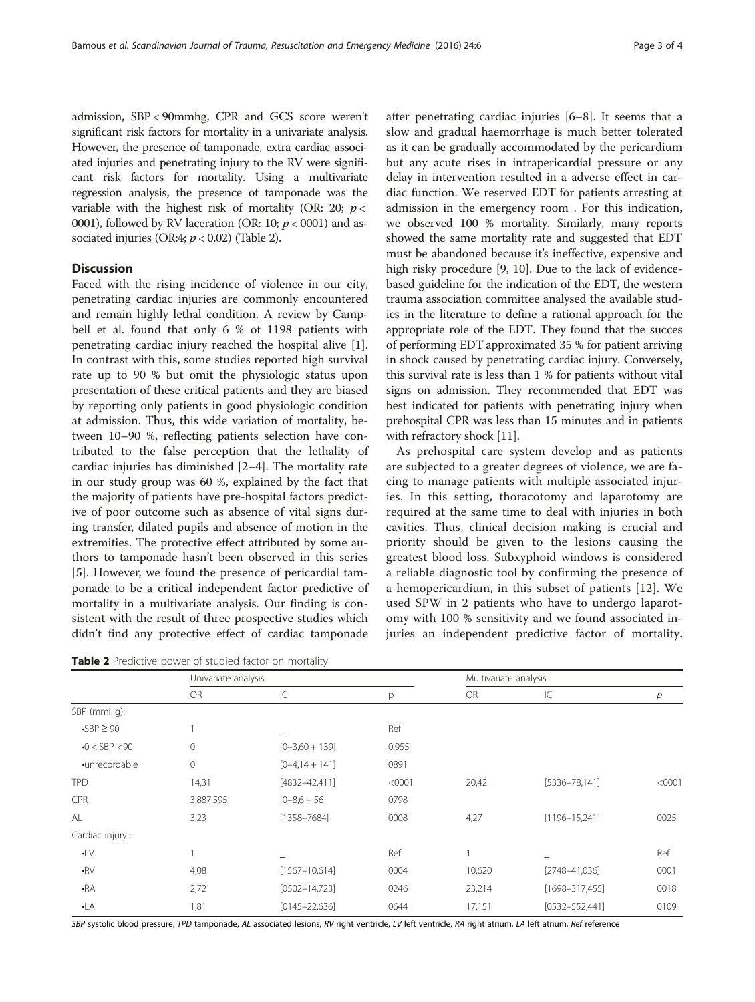admission, SBP < 90mmhg, CPR and GCS score weren't significant risk factors for mortality in a univariate analysis. However, the presence of tamponade, extra cardiac associated injuries and penetrating injury to the RV were significant risk factors for mortality. Using a multivariate regression analysis, the presence of tamponade was the variable with the highest risk of mortality (OR: 20;  $p <$ 0001), followed by RV laceration (OR: 10;  $p < 0001$ ) and associated injuries (OR:4;  $p < 0.02$ ) (Table 2).

# **Discussion**

Faced with the rising incidence of violence in our city, penetrating cardiac injuries are commonly encountered and remain highly lethal condition. A review by Campbell et al. found that only 6 % of 1198 patients with penetrating cardiac injury reached the hospital alive [\[1](#page--1-0)]. In contrast with this, some studies reported high survival rate up to 90 % but omit the physiologic status upon presentation of these critical patients and they are biased by reporting only patients in good physiologic condition at admission. Thus, this wide variation of mortality, between 10–90 %, reflecting patients selection have contributed to the false perception that the lethality of cardiac injuries has diminished [[2](#page--1-0)–[4\]](#page--1-0). The mortality rate in our study group was 60 %, explained by the fact that the majority of patients have pre-hospital factors predictive of poor outcome such as absence of vital signs during transfer, dilated pupils and absence of motion in the extremities. The protective effect attributed by some authors to tamponade hasn't been observed in this series [[5\]](#page--1-0). However, we found the presence of pericardial tamponade to be a critical independent factor predictive of mortality in a multivariate analysis. Our finding is consistent with the result of three prospective studies which didn't find any protective effect of cardiac tamponade

Table 2 Predictive power of studied factor on mortality

after penetrating cardiac injuries [\[6](#page--1-0)–[8\]](#page--1-0). It seems that a slow and gradual haemorrhage is much better tolerated as it can be gradually accommodated by the pericardium but any acute rises in intrapericardial pressure or any delay in intervention resulted in a adverse effect in cardiac function. We reserved EDT for patients arresting at admission in the emergency room . For this indication, we observed 100 % mortality. Similarly, many reports showed the same mortality rate and suggested that EDT must be abandoned because it's ineffective, expensive and high risky procedure [[9, 10](#page--1-0)]. Due to the lack of evidencebased guideline for the indication of the EDT, the western trauma association committee analysed the available studies in the literature to define a rational approach for the appropriate role of the EDT. They found that the succes of performing EDT approximated 35 % for patient arriving in shock caused by penetrating cardiac injury. Conversely, this survival rate is less than 1 % for patients without vital signs on admission. They recommended that EDT was best indicated for patients with penetrating injury when prehospital CPR was less than 15 minutes and in patients with refractory shock [\[11\]](#page--1-0).

As prehospital care system develop and as patients are subjected to a greater degrees of violence, we are facing to manage patients with multiple associated injuries. In this setting, thoracotomy and laparotomy are required at the same time to deal with injuries in both cavities. Thus, clinical decision making is crucial and priority should be given to the lesions causing the greatest blood loss. Subxyphoid windows is considered a reliable diagnostic tool by confirming the presence of a hemopericardium, in this subset of patients [[12\]](#page--1-0). We used SPW in 2 patients who have to undergo laparotomy with 100 % sensitivity and we found associated injuries an independent predictive factor of mortality.

|                   |                     | Univariate analysis |        |           | Multivariate analysis |        |  |
|-------------------|---------------------|---------------------|--------|-----------|-----------------------|--------|--|
|                   | <b>OR</b>           | IC                  | p      | <b>OR</b> | IC                    | р      |  |
| SBP (mmHg):       |                     |                     |        |           |                       |        |  |
| $-SBP \geq 90$    |                     |                     | Ref    |           |                       |        |  |
| $-0 <$ SBP $<$ 90 | 0                   | $[0-3,60+139]$      | 0,955  |           |                       |        |  |
| ·unrecordable     | $\mathsf{O}\xspace$ | $[0-4.14+141]$      | 0891   |           |                       |        |  |
| <b>TPD</b>        | 14,31               | $[4832 - 42, 411]$  | < 0001 | 20,42     | $[5336 - 78, 141]$    | < 0001 |  |
| <b>CPR</b>        | 3,887,595           | $[0-8.6+56]$        | 0798   |           |                       |        |  |
| AL                | 3,23                | $[1358 - 7684]$     | 0008   | 4,27      | $[1196 - 15, 241]$    | 0025   |  |
| Cardiac injury:   |                     |                     |        |           |                       |        |  |
| $\cdot$ LV        |                     |                     | Ref    |           |                       | Ref    |  |
| $-RV$             | 4,08                | $[1567 - 10, 614]$  | 0004   | 10,620    | $[2748 - 41,036]$     | 0001   |  |
| $-RA$             | 2,72                | $[0502 - 14, 723]$  | 0246   | 23,214    | $[1698 - 317,455]$    | 0018   |  |
| $-LA$             | 1,81                | $[0145 - 22, 636]$  | 0644   | 17,151    | $[0532 - 552,441]$    | 0109   |  |

SBP systolic blood pressure, TPD tamponade, AL associated lesions, RV right ventricle, LV left ventricle, RA right atrium, LA left atrium, Ref reference